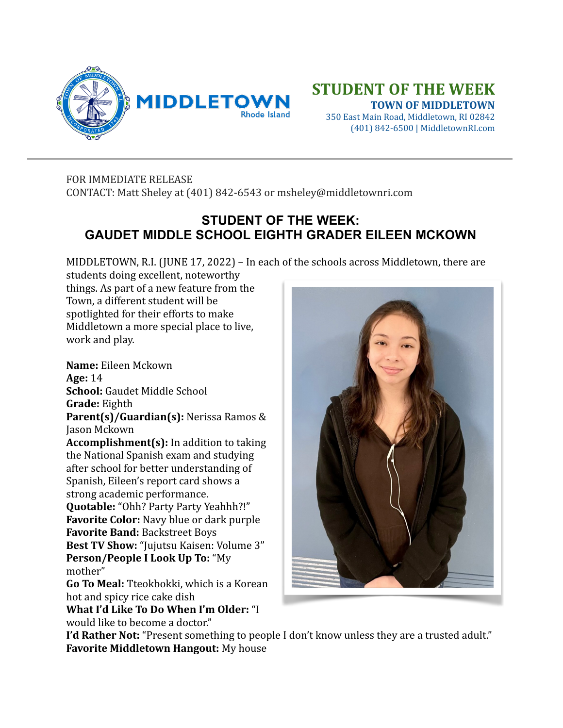

## **STUDENT OF THE WEEK**

 **TOWN OF MIDDLETOWN** 350 East Main Road, Middletown, RI 02842 (401) 842-6500 | MiddletownRI.com

## FOR IMMEDIATE RELEASE

CONTACT: Matt Sheley at (401) 842-6543 or msheley@middletownri.com

## **STUDENT OF THE WEEK: GAUDET MIDDLE SCHOOL EIGHTH GRADER EILEEN MCKOWN**

MIDDLETOWN, R.I. (JUNE 17, 2022) – In each of the schools across Middletown, there are

students doing excellent, noteworthy things. As part of a new feature from the Town, a different student will be spotlighted for their efforts to make Middletown a more special place to live, work and play.

**Name:** Eileen Mckown **Age:** 14 **School:** Gaudet Middle School **Grade:** Eighth **Parent(s)/Guardian(s):** Nerissa Ramos & Jason Mckown **Accomplishment(s):** In addition to taking the National Spanish exam and studying after school for better understanding of Spanish, Eileen's report card shows a strong academic performance. **Quotable:** "Ohh? Party Party Yeahhh?!" **Favorite Color:** Navy blue or dark purple **Favorite Band: Backstreet Boys Best TV Show:** "Jujutsu Kaisen: Volume 3" **Person/People I Look Up To: "My** mother" **Go To Meal:** Tteokbokki, which is a Korean hot and spicy rice cake dish **What I'd Like To Do When I'm Older: "I** 

would like to become a doctor."



**I'd Rather Not:** "Present something to people I don't know unless they are a trusted adult." **Favorite Middletown Hangout:** My house